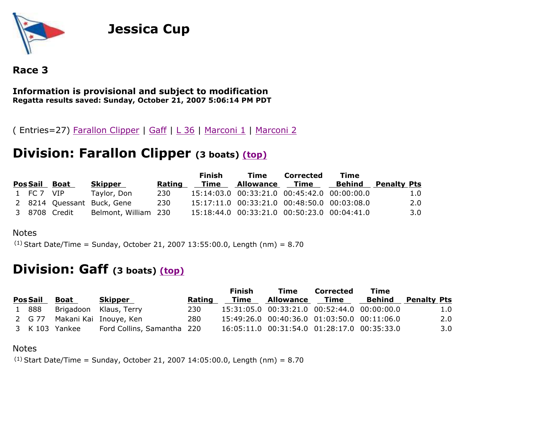

# **Jessica Cup**



### **Information is provisional and subject to modification Regatta results saved: Sunday, October 21, 2007 5:06:14 PM PDT**

( Entries=27) Farallon Clipper | Gaff | L 36 | Marconi 1 | Marconi 2

# **Division: Farallon Clipper (3 boats) (top)**

|               |               |                            |        | <b>Finish</b> | Time                                        | Corrected      | Time   |                    |
|---------------|---------------|----------------------------|--------|---------------|---------------------------------------------|----------------|--------|--------------------|
| Pos Sail Boat |               | Skipper                    | Rating | Time          | <b>Allowance</b>                            | - Ti <u>me</u> | Behind | <b>Penalty Pts</b> |
| 1 FC 7 VIP    |               | Taylor, Don                | 230    |               | 15:14:03.0 00:33:21.0 00:45:42.0 00:00:00.0 |                |        | 1.0                |
|               |               | 2 8214 Quessant Buck, Gene | 230    |               | 15:17:11.0 00:33:21.0 00:48:50.0 00:03:08.0 |                |        | 2.0                |
|               | 3 8708 Credit | Belmont, William 230       |        |               | 15:18:44.0 00:33:21.0 00:50:23.0 00:04:41.0 |                |        | 3.0 <sub>1</sub>   |

#### **Notes**

 $(1)$  Start Date/Time = Sunday, October 21, 2007 13:55:00.0, Length (nm) = 8.70

## **Division: Gaff (3 boats) (top)**

|                 |                |                               |        | Finish | Time                                        | Corrected   | Time   |                    |
|-----------------|----------------|-------------------------------|--------|--------|---------------------------------------------|-------------|--------|--------------------|
| <b>Pos Sail</b> | Boat           | <b>Skipper</b>                | Rating | Time   | Allowance                                   | <b>Time</b> | Behind | <b>Penalty Pts</b> |
| 1 888           |                | Brigadoon Klaus, Terry        | 230    |        | 15:31:05.0 00:33:21.0 00:52:44.0 00:00:00.0 |             |        | 1.0                |
|                 |                | 2 G 77 Makani Kai Inouye, Ken | 280    |        | 15:49:26.0 00:40:36.0 01:03:50.0 00:11:06.0 |             |        | 2.0                |
|                 | 3 K 103 Yankee | Ford Collins, Samantha 220    |        |        | 16:05:11.0 00:31:54.0 01:28:17.0 00:35:33.0 |             |        | 3.0                |

#### Notes

 $(1)$  Start Date/Time = Sunday, October 21, 2007 14:05:00.0, Length (nm) = 8.70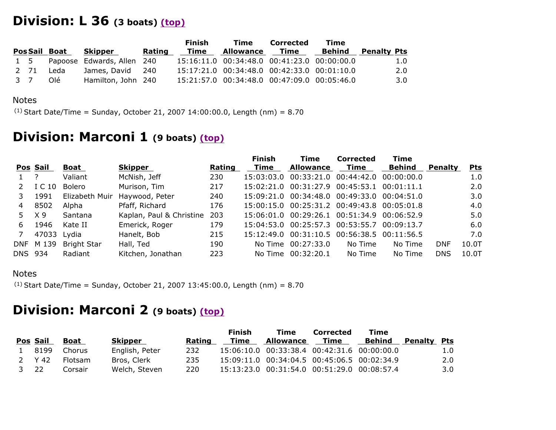## **Division: L 36 (3 boats) (top)**

|      |              |                            |        | <b>Finish</b> | Time                                        | Corrected | Time   |                    |
|------|--------------|----------------------------|--------|---------------|---------------------------------------------|-----------|--------|--------------------|
|      | PosSail Boat | Skipper                    | Rating | Time          | Allowance Time                              |           | Behind | <b>Penalty Pts</b> |
| 1 5  |              | Papoose Edwards, Allen 240 |        |               | 15:16:11.0 00:34:48.0 00:41:23.0 00:00:00.0 |           |        | 1.0                |
| 2 71 | Leda         | James, David 240           |        |               | 15:17:21.0 00:34:48.0 00:42:33.0 00:01:10.0 |           |        | 2.0                |
| 3 7  | Olé          | Hamilton, John 240         |        |               | 15:21:57.0 00:34:48.0 00:47:09.0 00:05:46.0 |           |        | 3.0                |

#### Notes

 $(1)$  Start Date/Time = Sunday, October 21, 2007 14:00:00.0, Length (nm) = 8.70

## **Division: Marconi 1 (9 boats) (top)**

|         |                |                    |                          |        | <b>Finish</b> | Time                                           | <b>Corrected</b> | Time          |                |            |
|---------|----------------|--------------------|--------------------------|--------|---------------|------------------------------------------------|------------------|---------------|----------------|------------|
|         | Pos Sail       | Boat               | <b>Skipper</b>           | Rating | Time          | <b>Allowance</b>                               | Time             | <b>Behind</b> | <b>Penalty</b> | <u>Pts</u> |
|         |                | Valiant            | McNish, Jeff             | 230    | 15:03:03.0    | 00:33:21.0 00:44:42.0 00:00:00.0               |                  |               |                | 1.0        |
|         | I C 10         | Bolero             | Murison, Tim             | 217    | 15:02:21.0    | 00:31:27.9 00:45:53.1 00:01:11.1               |                  |               |                | 2.0        |
|         | 1991           | Elizabeth Muir     | Haywood, Peter           | 240    |               | 15:09:21.0 00:34:48.0 00:49:33.0 00:04:51.0    |                  |               |                | 3.0        |
| 4       | 8502           | Alpha              | Pfaff, Richard           | 176    |               | 15:00:15.0 00:25:31.2 00:49:43.8 00:05:01.8    |                  |               |                | 4.0        |
| 5.      | X <sub>9</sub> | Santana            | Kaplan, Paul & Christine | 203    |               | 15:06:01.0  00:29:26.1  00:51:34.9  00:06:52.9 |                  |               |                | 5.0        |
| 6.      | 1946           | Kate II            | Emerick, Roger           | 179    |               | 15:04:53.0 00:25:57.3 00:53:55.7 00:09:13.7    |                  |               |                | 6.0        |
| 7       | 47033 Lydia    |                    | Hanelt, Bob              | 215    | 15:12:49.0    | 00:31:10.5 00:56:38.5 00:11:56.5               |                  |               |                | 7.0        |
|         | DNF M 139      | <b>Bright Star</b> | Hall, Ted                | 190    | No Time       | 00:27:33.0                                     | No Time          | No Time       | <b>DNF</b>     | 10.0T      |
| DNS 934 |                | Radiant            | Kitchen, Jonathan        | 223    | No Time       | 00:32:20.1                                     | No Time          | No Time       | <b>DNS</b>     | 10.0T      |

### Notes

 $(1)$  Start Date/Time = Sunday, October 21, 2007 13:45:00.0, Length (nm) = 8.70

## **Division: Marconi 2 (9 boats) (top)**

|      |          |         |                |        | Finish | Time                                        | <b>Corrected</b> | Time   |                    |     |
|------|----------|---------|----------------|--------|--------|---------------------------------------------|------------------|--------|--------------------|-----|
|      | Pos Sail | Boat    | Skipper        | Rating | Time   | Allowance                                   | Time             | Behind | <b>Penalty Pts</b> |     |
|      | 1 8199   | Chorus  | English, Peter | 232    |        | 15:06:10.0 00:33:38.4 00:42:31.6 00:00:00.0 |                  |        |                    | 1.0 |
|      | 2 Y 42   | Flotsam | Bros, Clerk    | 235    |        | 15:09:11.0 00:34:04.5 00:45:06.5 00:02:34.9 |                  |        |                    | 2.0 |
| 3 22 |          | Corsair | Welch, Steven  | 220    |        | 15:13:23.0 00:31:54.0 00:51:29.0 00:08:57.4 |                  |        |                    | 3.0 |